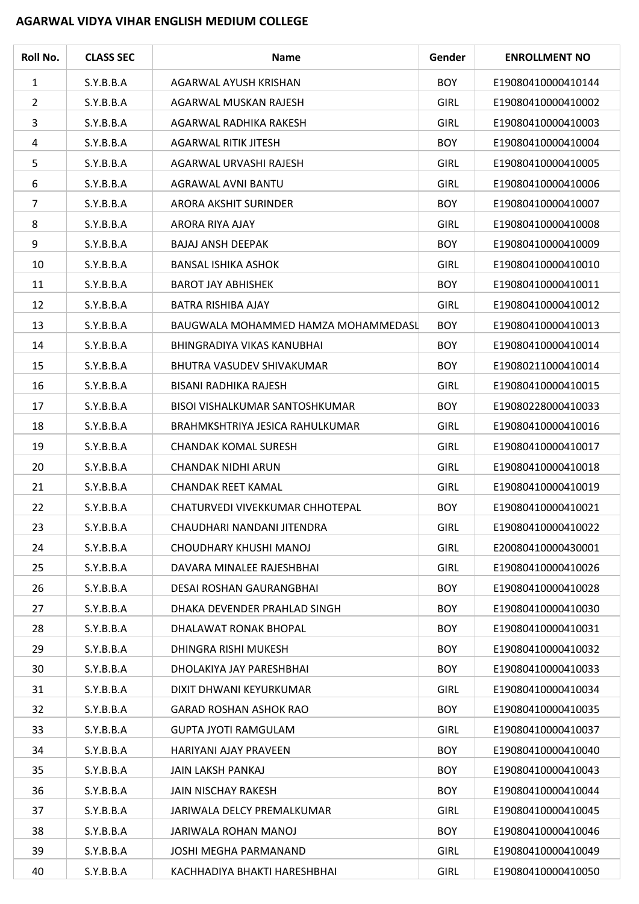## **AGARWAL VIDYA VIHAR ENGLISH MEDIUM COLLEGE**

| Roll No.       | <b>CLASS SEC</b> | <b>Name</b>                           | Gender      | <b>ENROLLMENT NO</b> |
|----------------|------------------|---------------------------------------|-------------|----------------------|
| 1              | S.Y.B.B.A        | AGARWAL AYUSH KRISHAN                 | <b>BOY</b>  | E19080410000410144   |
| $\overline{2}$ | S.Y.B.B.A        | AGARWAL MUSKAN RAJESH                 | <b>GIRL</b> | E19080410000410002   |
| 3              | S.Y.B.B.A        | AGARWAL RADHIKA RAKESH                | <b>GIRL</b> | E19080410000410003   |
| 4              | S.Y.B.B.A        | <b>AGARWAL RITIK JITESH</b>           | <b>BOY</b>  | E19080410000410004   |
| 5              | S.Y.B.B.A        | AGARWAL URVASHI RAJESH                | <b>GIRL</b> | E19080410000410005   |
| 6              | S.Y.B.B.A        | AGRAWAL AVNI BANTU                    | <b>GIRL</b> | E19080410000410006   |
| 7              | S.Y.B.B.A        | ARORA AKSHIT SURINDER                 | <b>BOY</b>  | E19080410000410007   |
| 8              | S.Y.B.B.A        | ARORA RIYA AJAY                       | <b>GIRL</b> | E19080410000410008   |
| 9              | S.Y.B.B.A        | <b>BAJAJ ANSH DEEPAK</b>              | <b>BOY</b>  | E19080410000410009   |
| 10             | S.Y.B.B.A        | <b>BANSAL ISHIKA ASHOK</b>            | <b>GIRL</b> | E19080410000410010   |
| 11             | S.Y.B.B.A        | <b>BAROT JAY ABHISHEK</b>             | <b>BOY</b>  | E19080410000410011   |
| 12             | S.Y.B.B.A        | BATRA RISHIBA AJAY                    | <b>GIRL</b> | E19080410000410012   |
| 13             | S.Y.B.B.A        | BAUGWALA MOHAMMED HAMZA MOHAMMEDASL   | <b>BOY</b>  | E19080410000410013   |
| 14             | S.Y.B.B.A        | BHINGRADIYA VIKAS KANUBHAI            | <b>BOY</b>  | E19080410000410014   |
| 15             | S.Y.B.B.A        | BHUTRA VASUDEV SHIVAKUMAR             | <b>BOY</b>  | E19080211000410014   |
| 16             | S.Y.B.B.A        | <b>BISANI RADHIKA RAJESH</b>          | <b>GIRL</b> | E19080410000410015   |
| 17             | S.Y.B.B.A        | <b>BISOI VISHALKUMAR SANTOSHKUMAR</b> | <b>BOY</b>  | E19080228000410033   |
| 18             | S.Y.B.B.A        | BRAHMKSHTRIYA JESICA RAHULKUMAR       | <b>GIRL</b> | E19080410000410016   |
| 19             | S.Y.B.B.A        | <b>CHANDAK KOMAL SURESH</b>           | <b>GIRL</b> | E19080410000410017   |
| 20             | S.Y.B.B.A        | <b>CHANDAK NIDHI ARUN</b>             | <b>GIRL</b> | E19080410000410018   |
| 21             | S.Y.B.B.A        | <b>CHANDAK REET KAMAL</b>             | <b>GIRL</b> | E19080410000410019   |
| 22             | S.Y.B.B.A        | CHATURVEDI VIVEKKUMAR CHHOTEPAL       | <b>BOY</b>  | E19080410000410021   |
| 23             | S.Y.B.B.A        | CHAUDHARI NANDANI JITENDRA            | <b>GIRL</b> | E19080410000410022   |
| 24             | S.Y.B.B.A        | CHOUDHARY KHUSHI MANOJ                | <b>GIRL</b> | E20080410000430001   |
| 25             | S.Y.B.B.A        | DAVARA MINALEE RAJESHBHAI             | <b>GIRL</b> | E19080410000410026   |
| 26             | S.Y.B.B.A        | DESAI ROSHAN GAURANGBHAI              | <b>BOY</b>  | E19080410000410028   |
| 27             | S.Y.B.B.A        | DHAKA DEVENDER PRAHLAD SINGH          | <b>BOY</b>  | E19080410000410030   |
| 28             | S.Y.B.B.A        | DHALAWAT RONAK BHOPAL                 | <b>BOY</b>  | E19080410000410031   |
| 29             | S.Y.B.B.A        | DHINGRA RISHI MUKESH                  | <b>BOY</b>  | E19080410000410032   |
| 30             | S.Y.B.B.A        | DHOLAKIYA JAY PARESHBHAI              | <b>BOY</b>  | E19080410000410033   |
| 31             | S.Y.B.B.A        | DIXIT DHWANI KEYURKUMAR               | <b>GIRL</b> | E19080410000410034   |
| 32             | S.Y.B.B.A        | <b>GARAD ROSHAN ASHOK RAO</b>         | <b>BOY</b>  | E19080410000410035   |
| 33             | S.Y.B.B.A        | <b>GUPTA JYOTI RAMGULAM</b>           | <b>GIRL</b> | E19080410000410037   |
| 34             | S.Y.B.B.A        | HARIYANI AJAY PRAVEEN                 | <b>BOY</b>  | E19080410000410040   |
| 35             | S.Y.B.B.A        | <b>JAIN LAKSH PANKAJ</b>              | <b>BOY</b>  | E19080410000410043   |
| 36             | S.Y.B.B.A        | <b>JAIN NISCHAY RAKESH</b>            | <b>BOY</b>  | E19080410000410044   |
| 37             | S.Y.B.B.A        | JARIWALA DELCY PREMALKUMAR            | <b>GIRL</b> | E19080410000410045   |
| 38             | S.Y.B.B.A        | JARIWALA ROHAN MANOJ                  | <b>BOY</b>  | E19080410000410046   |
| 39             | S.Y.B.B.A        | JOSHI MEGHA PARMANAND                 | <b>GIRL</b> | E19080410000410049   |
| 40             | S.Y.B.B.A        | KACHHADIYA BHAKTI HARESHBHAI          | <b>GIRL</b> | E19080410000410050   |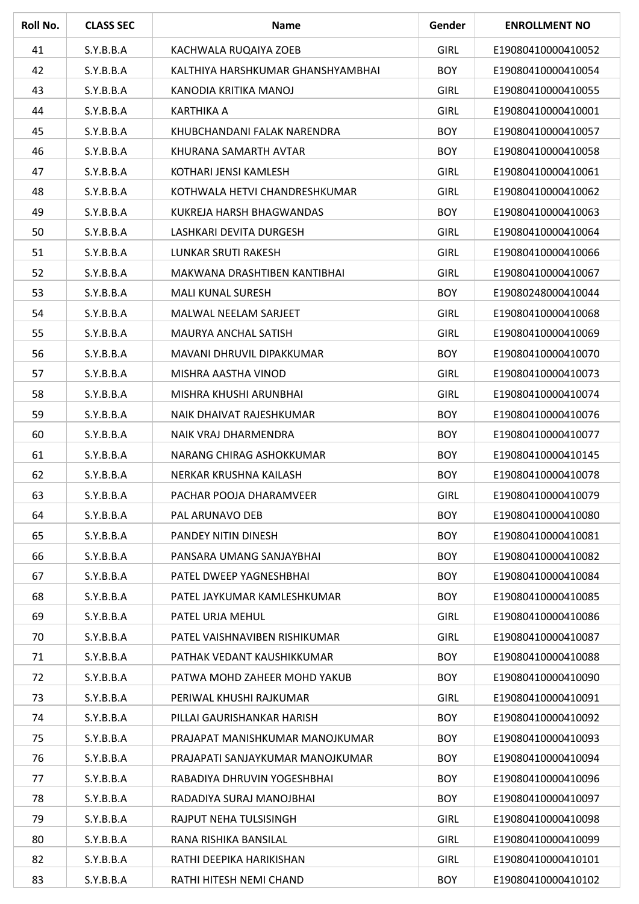| Roll No. | <b>CLASS SEC</b> | <b>Name</b>                       | Gender      | <b>ENROLLMENT NO</b> |
|----------|------------------|-----------------------------------|-------------|----------------------|
| 41       | S.Y.B.B.A        | KACHWALA RUQAIYA ZOEB             | <b>GIRL</b> | E19080410000410052   |
| 42       | S.Y.B.B.A        | KALTHIYA HARSHKUMAR GHANSHYAMBHAI | <b>BOY</b>  | E19080410000410054   |
| 43       | S.Y.B.B.A        | KANODIA KRITIKA MANOJ             | <b>GIRL</b> | E19080410000410055   |
| 44       | S.Y.B.B.A        | <b>KARTHIKA A</b>                 | <b>GIRL</b> | E19080410000410001   |
| 45       | S.Y.B.B.A        | KHUBCHANDANI FALAK NARENDRA       | <b>BOY</b>  | E19080410000410057   |
| 46       | S.Y.B.B.A        | KHURANA SAMARTH AVTAR             | <b>BOY</b>  | E19080410000410058   |
| 47       | S.Y.B.B.A        | KOTHARI JENSI KAMLESH             | <b>GIRL</b> | E19080410000410061   |
| 48       | S.Y.B.B.A        | KOTHWALA HETVI CHANDRESHKUMAR     | <b>GIRL</b> | E19080410000410062   |
| 49       | S.Y.B.B.A        | KUKREJA HARSH BHAGWANDAS          | <b>BOY</b>  | E19080410000410063   |
| 50       | S.Y.B.B.A        | LASHKARI DEVITA DURGESH           | <b>GIRL</b> | E19080410000410064   |
| 51       | S.Y.B.B.A        | <b>LUNKAR SRUTI RAKESH</b>        | <b>GIRL</b> | E19080410000410066   |
| 52       | S.Y.B.B.A        | MAKWANA DRASHTIBEN KANTIBHAI      | <b>GIRL</b> | E19080410000410067   |
| 53       | S.Y.B.B.A        | <b>MALI KUNAL SURESH</b>          | <b>BOY</b>  | E19080248000410044   |
| 54       | S.Y.B.B.A        | <b>MALWAL NEELAM SARJEET</b>      | <b>GIRL</b> | E19080410000410068   |
| 55       | S.Y.B.B.A        | MAURYA ANCHAL SATISH              | <b>GIRL</b> | E19080410000410069   |
| 56       | S.Y.B.B.A        | MAVANI DHRUVIL DIPAKKUMAR         | <b>BOY</b>  | E19080410000410070   |
| 57       | S.Y.B.B.A        | MISHRA AASTHA VINOD               | <b>GIRL</b> | E19080410000410073   |
| 58       | S.Y.B.B.A        | MISHRA KHUSHI ARUNBHAI            | <b>GIRL</b> | E19080410000410074   |
| 59       | S.Y.B.B.A        | NAIK DHAIVAT RAJESHKUMAR          | <b>BOY</b>  | E19080410000410076   |
| 60       | S.Y.B.B.A        | NAIK VRAJ DHARMENDRA              | <b>BOY</b>  | E19080410000410077   |
| 61       | S.Y.B.B.A        | NARANG CHIRAG ASHOKKUMAR          | <b>BOY</b>  | E19080410000410145   |
| 62       | S.Y.B.B.A        | NERKAR KRUSHNA KAILASH            | <b>BOY</b>  | E19080410000410078   |
| 63       | S.Y.B.B.A        | PACHAR POOJA DHARAMVEER           | <b>GIRL</b> | E19080410000410079   |
| 64       | S.Y.B.B.A        | PAL ARUNAVO DEB                   | <b>BOY</b>  | E19080410000410080   |
| 65       | S.Y.B.B.A        | PANDEY NITIN DINESH               | <b>BOY</b>  | E19080410000410081   |
| 66       | S.Y.B.B.A        | PANSARA UMANG SANJAYBHAI          | <b>BOY</b>  | E19080410000410082   |
| 67       | S.Y.B.B.A        | PATEL DWEEP YAGNESHBHAI           | <b>BOY</b>  | E19080410000410084   |
| 68       | S.Y.B.B.A        | PATEL JAYKUMAR KAMLESHKUMAR       | <b>BOY</b>  | E19080410000410085   |
| 69       | S.Y.B.B.A        | PATEL URJA MEHUL                  | <b>GIRL</b> | E19080410000410086   |
| 70       | S.Y.B.B.A        | PATEL VAISHNAVIBEN RISHIKUMAR     | <b>GIRL</b> | E19080410000410087   |
| 71       | S.Y.B.B.A        | PATHAK VEDANT KAUSHIKKUMAR        | <b>BOY</b>  | E19080410000410088   |
| 72       | S.Y.B.B.A        | PATWA MOHD ZAHEER MOHD YAKUB      | <b>BOY</b>  | E19080410000410090   |
| 73       | S.Y.B.B.A        | PERIWAL KHUSHI RAJKUMAR           | <b>GIRL</b> | E19080410000410091   |
| 74       | S.Y.B.B.A        | PILLAI GAURISHANKAR HARISH        | <b>BOY</b>  | E19080410000410092   |
| 75       | S.Y.B.B.A        | PRAJAPAT MANISHKUMAR MANOJKUMAR   | <b>BOY</b>  | E19080410000410093   |
| 76       | S.Y.B.B.A        | PRAJAPATI SANJAYKUMAR MANOJKUMAR  | <b>BOY</b>  | E19080410000410094   |
| 77       | S.Y.B.B.A        | RABADIYA DHRUVIN YOGESHBHAI       | <b>BOY</b>  | E19080410000410096   |
| 78       | S.Y.B.B.A        | RADADIYA SURAJ MANOJBHAI          | <b>BOY</b>  | E19080410000410097   |
| 79       | S.Y.B.B.A        | RAJPUT NEHA TULSISINGH            | <b>GIRL</b> | E19080410000410098   |
| 80       | S.Y.B.B.A        | RANA RISHIKA BANSILAL             | <b>GIRL</b> | E19080410000410099   |
| 82       | S.Y.B.B.A        | RATHI DEEPIKA HARIKISHAN          | <b>GIRL</b> | E19080410000410101   |
| 83       | S.Y.B.B.A        | RATHI HITESH NEMI CHAND           | <b>BOY</b>  | E19080410000410102   |